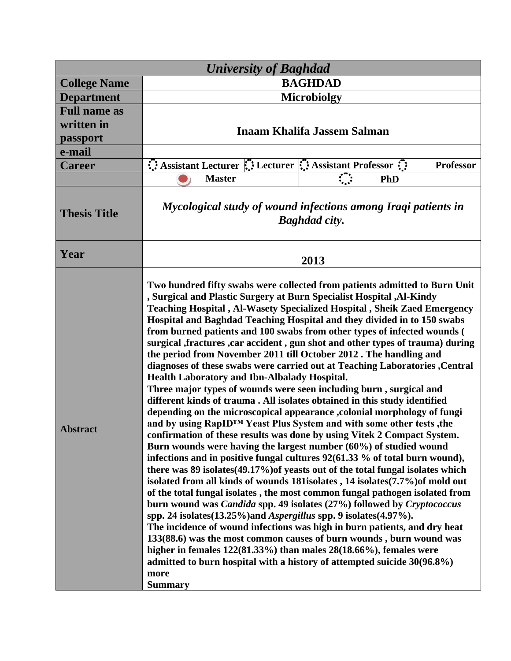| <b>University of Baghdad</b> |                                                                                                                                                                                                                                                                                                                                                                                                                                                                                                                                                                                                                                                                                                                                                                                                                                                                                                                                                                                                                                                                                                                                                                                                                                                                                                                                                                                                                                                                                                                                                                                                                                                                                                                                                                                                                                                                                                                                                                                            |                  |
|------------------------------|--------------------------------------------------------------------------------------------------------------------------------------------------------------------------------------------------------------------------------------------------------------------------------------------------------------------------------------------------------------------------------------------------------------------------------------------------------------------------------------------------------------------------------------------------------------------------------------------------------------------------------------------------------------------------------------------------------------------------------------------------------------------------------------------------------------------------------------------------------------------------------------------------------------------------------------------------------------------------------------------------------------------------------------------------------------------------------------------------------------------------------------------------------------------------------------------------------------------------------------------------------------------------------------------------------------------------------------------------------------------------------------------------------------------------------------------------------------------------------------------------------------------------------------------------------------------------------------------------------------------------------------------------------------------------------------------------------------------------------------------------------------------------------------------------------------------------------------------------------------------------------------------------------------------------------------------------------------------------------------------|------------------|
| <b>College Name</b>          | <b>BAGHDAD</b>                                                                                                                                                                                                                                                                                                                                                                                                                                                                                                                                                                                                                                                                                                                                                                                                                                                                                                                                                                                                                                                                                                                                                                                                                                                                                                                                                                                                                                                                                                                                                                                                                                                                                                                                                                                                                                                                                                                                                                             |                  |
| <b>Department</b>            | <b>Microbiolgy</b>                                                                                                                                                                                                                                                                                                                                                                                                                                                                                                                                                                                                                                                                                                                                                                                                                                                                                                                                                                                                                                                                                                                                                                                                                                                                                                                                                                                                                                                                                                                                                                                                                                                                                                                                                                                                                                                                                                                                                                         |                  |
| <b>Full name as</b>          |                                                                                                                                                                                                                                                                                                                                                                                                                                                                                                                                                                                                                                                                                                                                                                                                                                                                                                                                                                                                                                                                                                                                                                                                                                                                                                                                                                                                                                                                                                                                                                                                                                                                                                                                                                                                                                                                                                                                                                                            |                  |
| written in                   | <b>Inaam Khalifa Jassem Salman</b>                                                                                                                                                                                                                                                                                                                                                                                                                                                                                                                                                                                                                                                                                                                                                                                                                                                                                                                                                                                                                                                                                                                                                                                                                                                                                                                                                                                                                                                                                                                                                                                                                                                                                                                                                                                                                                                                                                                                                         |                  |
| passport                     |                                                                                                                                                                                                                                                                                                                                                                                                                                                                                                                                                                                                                                                                                                                                                                                                                                                                                                                                                                                                                                                                                                                                                                                                                                                                                                                                                                                                                                                                                                                                                                                                                                                                                                                                                                                                                                                                                                                                                                                            |                  |
| e-mail                       |                                                                                                                                                                                                                                                                                                                                                                                                                                                                                                                                                                                                                                                                                                                                                                                                                                                                                                                                                                                                                                                                                                                                                                                                                                                                                                                                                                                                                                                                                                                                                                                                                                                                                                                                                                                                                                                                                                                                                                                            |                  |
| <b>Career</b>                | $\therefore$ Assistant Lecturer $\therefore$ Lecturer $\therefore$ Assistant Professor $\therefore$                                                                                                                                                                                                                                                                                                                                                                                                                                                                                                                                                                                                                                                                                                                                                                                                                                                                                                                                                                                                                                                                                                                                                                                                                                                                                                                                                                                                                                                                                                                                                                                                                                                                                                                                                                                                                                                                                        | <b>Professor</b> |
|                              | $\mathbb{C}$<br><b>Master</b>                                                                                                                                                                                                                                                                                                                                                                                                                                                                                                                                                                                                                                                                                                                                                                                                                                                                                                                                                                                                                                                                                                                                                                                                                                                                                                                                                                                                                                                                                                                                                                                                                                                                                                                                                                                                                                                                                                                                                              | <b>PhD</b>       |
| <b>Thesis Title</b>          | Mycological study of wound infections among Iraqi patients in<br><b>Baghdad city.</b>                                                                                                                                                                                                                                                                                                                                                                                                                                                                                                                                                                                                                                                                                                                                                                                                                                                                                                                                                                                                                                                                                                                                                                                                                                                                                                                                                                                                                                                                                                                                                                                                                                                                                                                                                                                                                                                                                                      |                  |
| Year                         | 2013                                                                                                                                                                                                                                                                                                                                                                                                                                                                                                                                                                                                                                                                                                                                                                                                                                                                                                                                                                                                                                                                                                                                                                                                                                                                                                                                                                                                                                                                                                                                                                                                                                                                                                                                                                                                                                                                                                                                                                                       |                  |
| <b>Abstract</b>              | Two hundred fifty swabs were collected from patients admitted to Burn Unit<br>, Surgical and Plastic Surgery at Burn Specialist Hospital , Al-Kindy<br>Teaching Hospital, Al-Wasety Specialized Hospital, Sheik Zaed Emergency<br>Hospital and Baghdad Teaching Hospital and they divided in to 150 swabs<br>from burned patients and 100 swabs from other types of infected wounds (<br>surgical , fractures , car accident , gun shot and other types of trauma) during<br>the period from November 2011 till October 2012. The handling and<br>diagnoses of these swabs were carried out at Teaching Laboratories, Central<br><b>Health Laboratory and Ibn-Albalady Hospital.</b><br>Three major types of wounds were seen including burn, surgical and<br>different kinds of trauma. All isolates obtained in this study identified<br>depending on the microscopical appearance ,colonial morphology of fungi<br>and by using RapID <sup>™</sup> Yeast Plus System and with some other tests, the<br>confirmation of these results was done by using Vitek 2 Compact System.<br>Burn wounds were having the largest number (60%) of studied wound<br>infections and in positive fungal cultures 92(61.33 % of total burn wound),<br>there was 89 isolates (49.17%) of yeasts out of the total fungal isolates which<br>isolated from all kinds of wounds 181 isolates, 14 isolates (7.7%) of mold out<br>of the total fungal isolates, the most common fungal pathogen isolated from<br>burn wound was <i>Candida</i> spp. 49 isolates (27%) followed by <i>Cryptococcus</i><br>spp. 24 isolates(13.25%) and Aspergillus spp. 9 isolates(4.97%).<br>The incidence of wound infections was high in burn patients, and dry heat<br>133(88.6) was the most common causes of burn wounds, burn wound was<br>higher in females $122(81.33\%)$ than males $28(18.66\%)$ , females were<br>admitted to burn hospital with a history of attempted suicide 30(96.8%)<br>more<br><b>Summary</b> |                  |